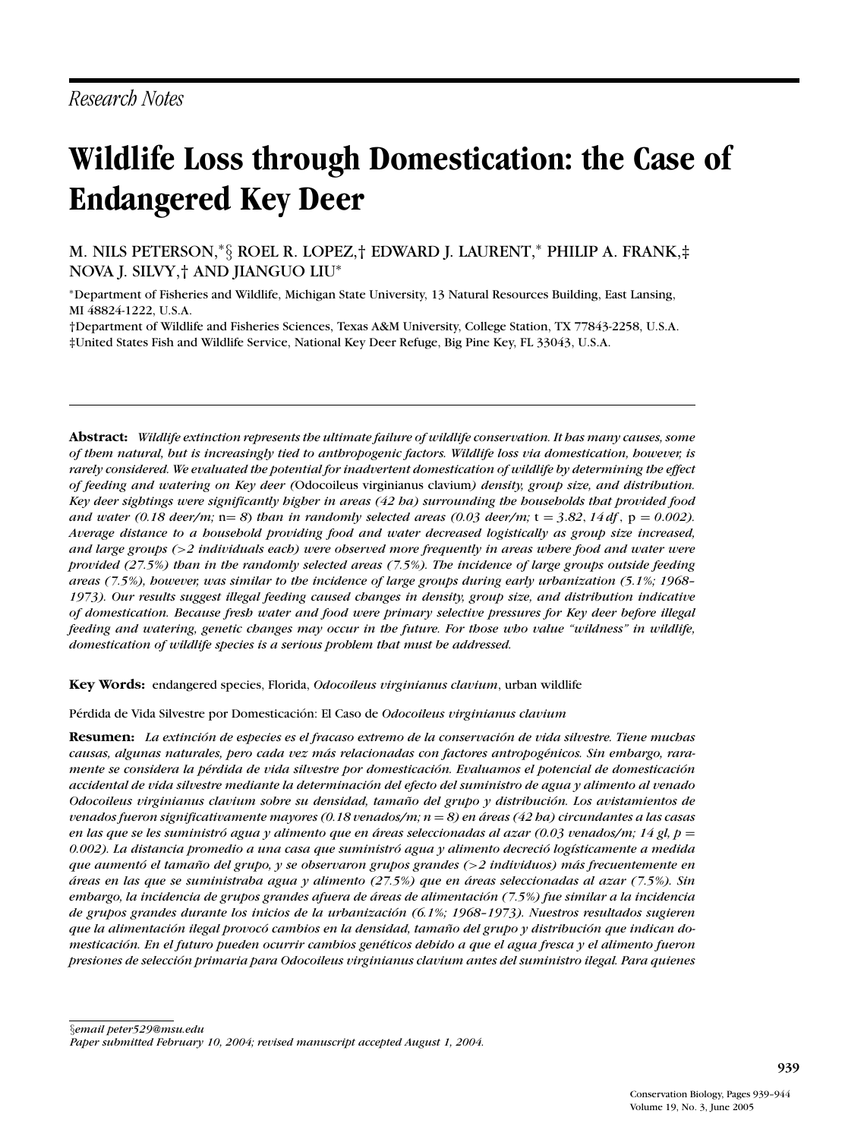# **Wildlife Loss through Domestication: the Case of Endangered Key Deer**

M. NILS PETERSON,<sup>∗</sup>§ ROEL R. LOPEZ,† EDWARD J. LAURENT,<sup>∗</sup> PHILIP A. FRANK,‡ NOVA J. SILVY,† AND JIANGUO LIU<sup>∗</sup>

<sup>∗</sup>Department of Fisheries and Wildlife, Michigan State University, 13 Natural Resources Building, East Lansing, MI 48824-1222, U.S.A.

†Department of Wildlife and Fisheries Sciences, Texas A&M University, College Station, TX 77843-2258, U.S.A. ‡United States Fish and Wildlife Service, National Key Deer Refuge, Big Pine Key, FL 33043, U.S.A.

**Abstract:** *Wildlife extinction represents the ultimate failure of wildlife conservation. It has many causes, some of them natural, but is increasingly tied to anthropogenic factors. Wildlife loss via domestication, however, is rarely considered. We evaluated the potential for inadvertent domestication of wildlife by determining the effect of feeding and watering on Key deer (*Odocoileus virginianus clavium*) density, group size, and distribution. Key deer sightings were significantly higher in areas (42 ha) surrounding the households that provided food and water (0.18 deer/m;*  $n = 8$ ) *than in randomly selected areas (0.03 deer/m;*  $t = 3.82, 14 df$ ,  $p = 0.002$ ). *Average distance to a household providing food and water decreased logistically as group size increased, and large groups (*>*2 individuals each) were observed more frequently in areas where food and water were provided (27.5%) than in the randomly selected areas (7.5%). The incidence of large groups outside feeding areas (7.5%), however, was similar to the incidence of large groups during early urbanization (5.1%; 1968– 1973). Our results suggest illegal feeding caused changes in density, group size, and distribution indicative of domestication. Because fresh water and food were primary selective pressures for Key deer before illegal feeding and watering, genetic changes may occur in the future. For those who value "wildness" in wildlife, domestication of wildlife species is a serious problem that must be addressed.*

**Key Words:** endangered species, Florida, *Odocoileus virginianus clavium*, urban wildlife

Pérdida de Vida Silvestre por Domesticación: El Caso de *Odocoileus virginianus clavium* 

**Resumen:** *La extincion de especies es el fracaso extremo de la conservaci ´ on de vida silvestre. Tiene muchas ´* causas, algunas naturales, pero cada vez más relacionadas con factores antropogénicos. Sin embargo, rara*mente se considera la p´erdida de vida silvestre por domesticacion. Evaluamos el potencial de domesticaci ´ on´ accidental de vida silvestre mediante la determinacion del efecto del suministro de agua y alimento al venado ´ Odocoileus virginianus clavium sobre su densidad, tamano del grupo y distribuci ˜ on. Los avistamientos de ´ venados fueron significativamente mayores (0.18 venados/m; n* = *8) en areas (42 ha) circundantes a las casas ´ en las que se les suministro´ agua y alimento que en areas seleccionadas al azar (0.03 venados/m; 14 gl, p ´* = *0.002). La distancia promedio a una casa que suministro´ agua y alimento decrecio´ log´ısticamente a medida que aumento e ´ l tamano del grupo, y se observaron grupos grandes ( ˜* >*2 individuos) mas frecuentemente en ´ areas en las que se suministraba agua y alimento (27.5%) que en ´ areas seleccionadas al azar (7.5%). Sin ´ embargo, la incidencia de grupos grandes afuera de areas de alimentaci ´ on (7.5%) fue similar a la incidencia ´ de grupos grandes durante los inicios de la urbanizacion (6.1%; 1968–1973). Nuestros resultados sugieren ´ que la alimentacion ilegal provoc ´ o´ cambios en la densidad, tamano del grupo y distribuci ˜ on que indican do- ´ mesticacion. En el futuro pueden ocurrir cambios gen ´ ´eticos debido a que el agua fresca y el alimento fueron presiones de seleccion primaria para Odocoileus virginianus clavium antes del suministro ilegal. Para quienes ´*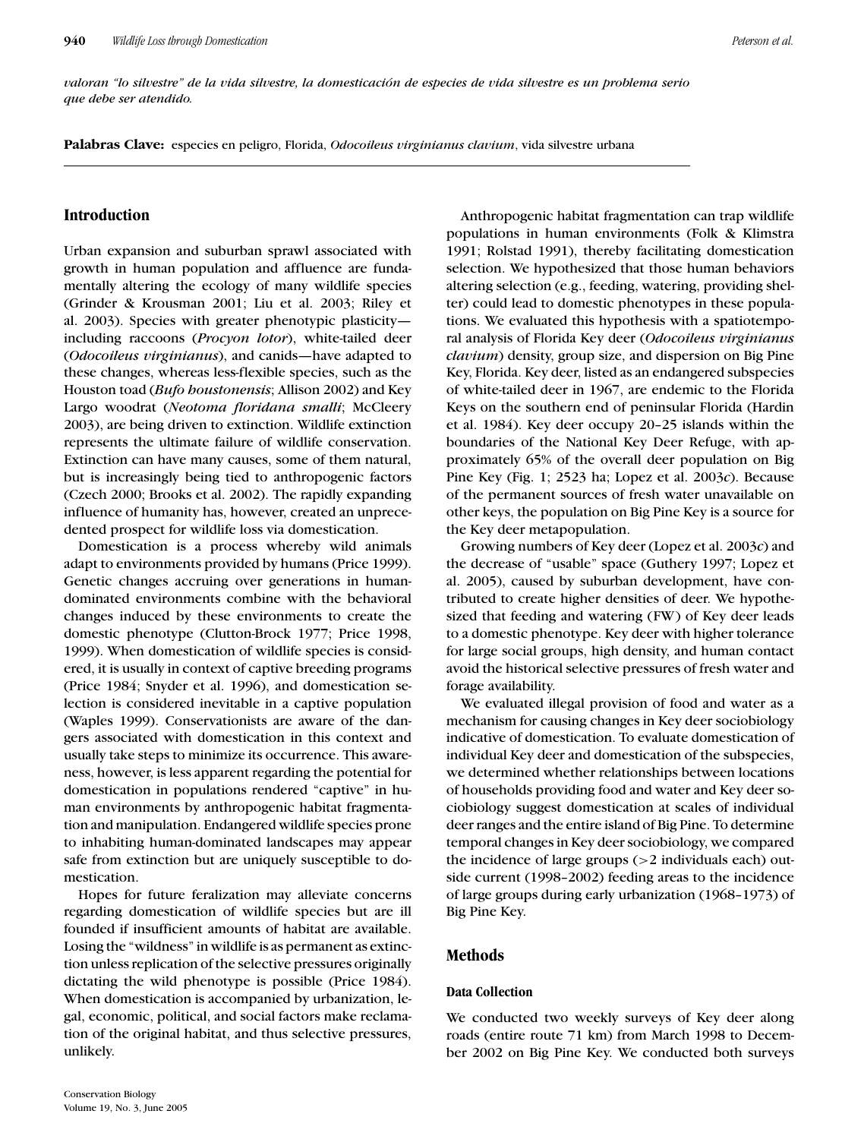*valoran "lo silvestre" de la vida silvestre, la domesticacion de especies de vida silvestre es un problema serio ´ que debe ser atendido.*

**Palabras Clave:** especies en peligro, Florida, *Odocoileus virginianus clavium*, vida silvestre urbana

# **Introduction**

Urban expansion and suburban sprawl associated with growth in human population and affluence are fundamentally altering the ecology of many wildlife species (Grinder & Krousman 2001; Liu et al. 2003; Riley et al. 2003). Species with greater phenotypic plasticity including raccoons (*Procyon lotor*), white-tailed deer (*Odocoileus virginianus*), and canids—have adapted to these changes, whereas less-flexible species, such as the Houston toad (*Bufo houstonensis*; Allison 2002) and Key Largo woodrat (*Neotoma floridana smalli*; McCleery 2003), are being driven to extinction. Wildlife extinction represents the ultimate failure of wildlife conservation. Extinction can have many causes, some of them natural, but is increasingly being tied to anthropogenic factors (Czech 2000; Brooks et al. 2002). The rapidly expanding influence of humanity has, however, created an unprecedented prospect for wildlife loss via domestication.

Domestication is a process whereby wild animals adapt to environments provided by humans (Price 1999). Genetic changes accruing over generations in humandominated environments combine with the behavioral changes induced by these environments to create the domestic phenotype (Clutton-Brock 1977; Price 1998, 1999). When domestication of wildlife species is considered, it is usually in context of captive breeding programs (Price 1984; Snyder et al. 1996), and domestication selection is considered inevitable in a captive population (Waples 1999). Conservationists are aware of the dangers associated with domestication in this context and usually take steps to minimize its occurrence. This awareness, however, is less apparent regarding the potential for domestication in populations rendered "captive" in human environments by anthropogenic habitat fragmentation and manipulation. Endangered wildlife species prone to inhabiting human-dominated landscapes may appear safe from extinction but are uniquely susceptible to domestication.

Hopes for future feralization may alleviate concerns regarding domestication of wildlife species but are ill founded if insufficient amounts of habitat are available. Losing the "wildness" in wildlife is as permanent as extinction unless replication of the selective pressures originally dictating the wild phenotype is possible (Price 1984). When domestication is accompanied by urbanization, legal, economic, political, and social factors make reclamation of the original habitat, and thus selective pressures, unlikely.

Anthropogenic habitat fragmentation can trap wildlife populations in human environments (Folk & Klimstra 1991; Rolstad 1991), thereby facilitating domestication selection. We hypothesized that those human behaviors altering selection (e.g., feeding, watering, providing shelter) could lead to domestic phenotypes in these populations. We evaluated this hypothesis with a spatiotemporal analysis of Florida Key deer (*Odocoileus virginianus clavium*) density, group size, and dispersion on Big Pine Key, Florida. Key deer, listed as an endangered subspecies of white-tailed deer in 1967, are endemic to the Florida Keys on the southern end of peninsular Florida (Hardin et al. 1984). Key deer occupy 20–25 islands within the boundaries of the National Key Deer Refuge, with approximately 65% of the overall deer population on Big Pine Key (Fig. 1; 2523 ha; Lopez et al. 2003*c*). Because of the permanent sources of fresh water unavailable on other keys, the population on Big Pine Key is a source for the Key deer metapopulation.

Growing numbers of Key deer (Lopez et al. 2003*c*) and the decrease of "usable" space (Guthery 1997; Lopez et al. 2005), caused by suburban development, have contributed to create higher densities of deer. We hypothesized that feeding and watering (FW) of Key deer leads to a domestic phenotype. Key deer with higher tolerance for large social groups, high density, and human contact avoid the historical selective pressures of fresh water and forage availability.

We evaluated illegal provision of food and water as a mechanism for causing changes in Key deer sociobiology indicative of domestication. To evaluate domestication of individual Key deer and domestication of the subspecies, we determined whether relationships between locations of households providing food and water and Key deer sociobiology suggest domestication at scales of individual deer ranges and the entire island of Big Pine. To determine temporal changes in Key deer sociobiology, we compared the incidence of large groups  $(>2$  individuals each) outside current (1998–2002) feeding areas to the incidence of large groups during early urbanization (1968–1973) of Big Pine Key.

# **Methods**

#### **Data Collection**

We conducted two weekly surveys of Key deer along roads (entire route 71 km) from March 1998 to December 2002 on Big Pine Key. We conducted both surveys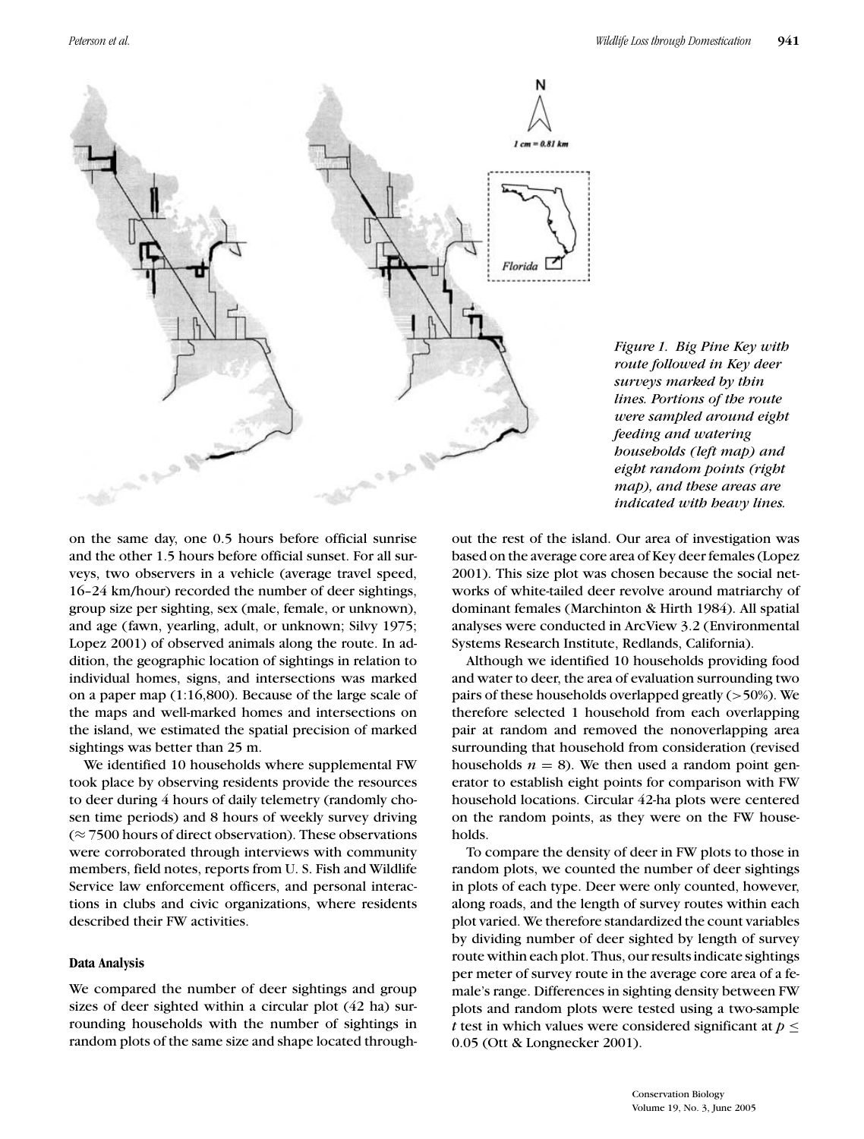



on the same day, one 0.5 hours before official sunrise and the other 1.5 hours before official sunset. For all surveys, two observers in a vehicle (average travel speed, 16–24 km/hour) recorded the number of deer sightings, group size per sighting, sex (male, female, or unknown), and age (fawn, yearling, adult, or unknown; Silvy 1975; Lopez 2001) of observed animals along the route. In addition, the geographic location of sightings in relation to individual homes, signs, and intersections was marked on a paper map (1:16,800). Because of the large scale of the maps and well-marked homes and intersections on the island, we estimated the spatial precision of marked sightings was better than 25 m.

We identified 10 households where supplemental FW took place by observing residents provide the resources to deer during 4 hours of daily telemetry (randomly chosen time periods) and 8 hours of weekly survey driving  $(\approx 7500$  hours of direct observation). These observations were corroborated through interviews with community members, field notes, reports from U. S. Fish and Wildlife Service law enforcement officers, and personal interactions in clubs and civic organizations, where residents described their FW activities.

### **Data Analysis**

We compared the number of deer sightings and group sizes of deer sighted within a circular plot (42 ha) surrounding households with the number of sightings in random plots of the same size and shape located throughout the rest of the island. Our area of investigation was based on the average core area of Key deer females (Lopez 2001). This size plot was chosen because the social networks of white-tailed deer revolve around matriarchy of dominant females (Marchinton & Hirth 1984). All spatial analyses were conducted in ArcView 3.2 (Environmental Systems Research Institute, Redlands, California).

Although we identified 10 households providing food and water to deer, the area of evaluation surrounding two pairs of these households overlapped greatly (>50%). We therefore selected 1 household from each overlapping pair at random and removed the nonoverlapping area surrounding that household from consideration (revised households  $n = 8$ ). We then used a random point generator to establish eight points for comparison with FW household locations. Circular 42-ha plots were centered on the random points, as they were on the FW households.

To compare the density of deer in FW plots to those in random plots, we counted the number of deer sightings in plots of each type. Deer were only counted, however, along roads, and the length of survey routes within each plot varied. We therefore standardized the count variables by dividing number of deer sighted by length of survey route within each plot. Thus, our results indicate sightings per meter of survey route in the average core area of a female's range. Differences in sighting density between FW plots and random plots were tested using a two-sample *t* test in which values were considered significant at *p* ≤ 0.05 (Ott & Longnecker 2001).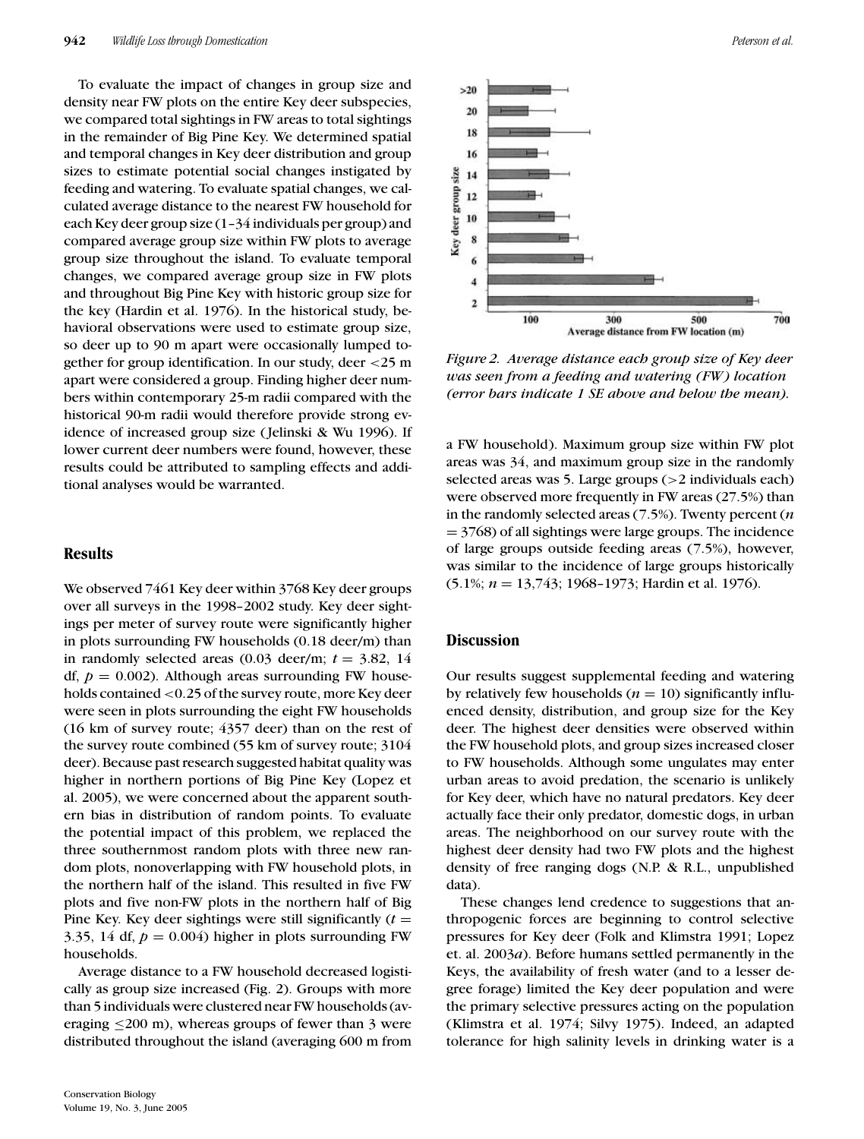To evaluate the impact of changes in group size and density near FW plots on the entire Key deer subspecies, we compared total sightings in FW areas to total sightings in the remainder of Big Pine Key. We determined spatial and temporal changes in Key deer distribution and group sizes to estimate potential social changes instigated by feeding and watering. To evaluate spatial changes, we calculated average distance to the nearest FW household for each Key deer group size (1–34 individuals per group) and compared average group size within FW plots to average group size throughout the island. To evaluate temporal changes, we compared average group size in FW plots and throughout Big Pine Key with historic group size for the key (Hardin et al. 1976). In the historical study, behavioral observations were used to estimate group size, so deer up to 90 m apart were occasionally lumped together for group identification. In our study, deer <25 m apart were considered a group. Finding higher deer numbers within contemporary 25-m radii compared with the historical 90-m radii would therefore provide strong evidence of increased group size ( Jelinski & Wu 1996). If lower current deer numbers were found, however, these results could be attributed to sampling effects and additional analyses would be warranted.

## **Results**

We observed 7461 Key deer within 3768 Key deer groups over all surveys in the 1998–2002 study. Key deer sightings per meter of survey route were significantly higher in plots surrounding FW households (0.18 deer/m) than in randomly selected areas  $(0.03 \text{ deer/m}; t = 3.82, 14)$ df,  $p = 0.002$ ). Although areas surrounding FW households contained <0.25 of the survey route, more Key deer were seen in plots surrounding the eight FW households (16 km of survey route; 4357 deer) than on the rest of the survey route combined (55 km of survey route; 3104 deer). Because past research suggested habitat quality was higher in northern portions of Big Pine Key (Lopez et al. 2005), we were concerned about the apparent southern bias in distribution of random points. To evaluate the potential impact of this problem, we replaced the three southernmost random plots with three new random plots, nonoverlapping with FW household plots, in the northern half of the island. This resulted in five FW plots and five non-FW plots in the northern half of Big Pine Key. Key deer sightings were still significantly  $(t =$ 3.35, 14 df,  $p = 0.004$ ) higher in plots surrounding FW households.

Average distance to a FW household decreased logistically as group size increased (Fig. 2). Groups with more than 5 individuals were clustered near FW households (averaging  $\leq$ 200 m), whereas groups of fewer than 3 were distributed throughout the island (averaging 600 m from



*Figure 2. Average distance each group size of Key deer was seen from a feeding and watering (FW) location (error bars indicate 1 SE above and below the mean).*

a FW household). Maximum group size within FW plot areas was 34, and maximum group size in the randomly selected areas was 5. Large groups (>2 individuals each) were observed more frequently in FW areas (27.5%) than in the randomly selected areas (7.5%). Twenty percent (*n*  $= 3768$ ) of all sightings were large groups. The incidence of large groups outside feeding areas (7.5%), however, was similar to the incidence of large groups historically (5.1%; *n* = 13,743; 1968–1973; Hardin et al. 1976).

#### **Discussion**

Our results suggest supplemental feeding and watering by relatively few households  $(n = 10)$  significantly influenced density, distribution, and group size for the Key deer. The highest deer densities were observed within the FW household plots, and group sizes increased closer to FW households. Although some ungulates may enter urban areas to avoid predation, the scenario is unlikely for Key deer, which have no natural predators. Key deer actually face their only predator, domestic dogs, in urban areas. The neighborhood on our survey route with the highest deer density had two FW plots and the highest density of free ranging dogs (N.P. & R.L., unpublished data).

These changes lend credence to suggestions that anthropogenic forces are beginning to control selective pressures for Key deer (Folk and Klimstra 1991; Lopez et. al. 2003*a*). Before humans settled permanently in the Keys, the availability of fresh water (and to a lesser degree forage) limited the Key deer population and were the primary selective pressures acting on the population (Klimstra et al. 1974; Silvy 1975). Indeed, an adapted tolerance for high salinity levels in drinking water is a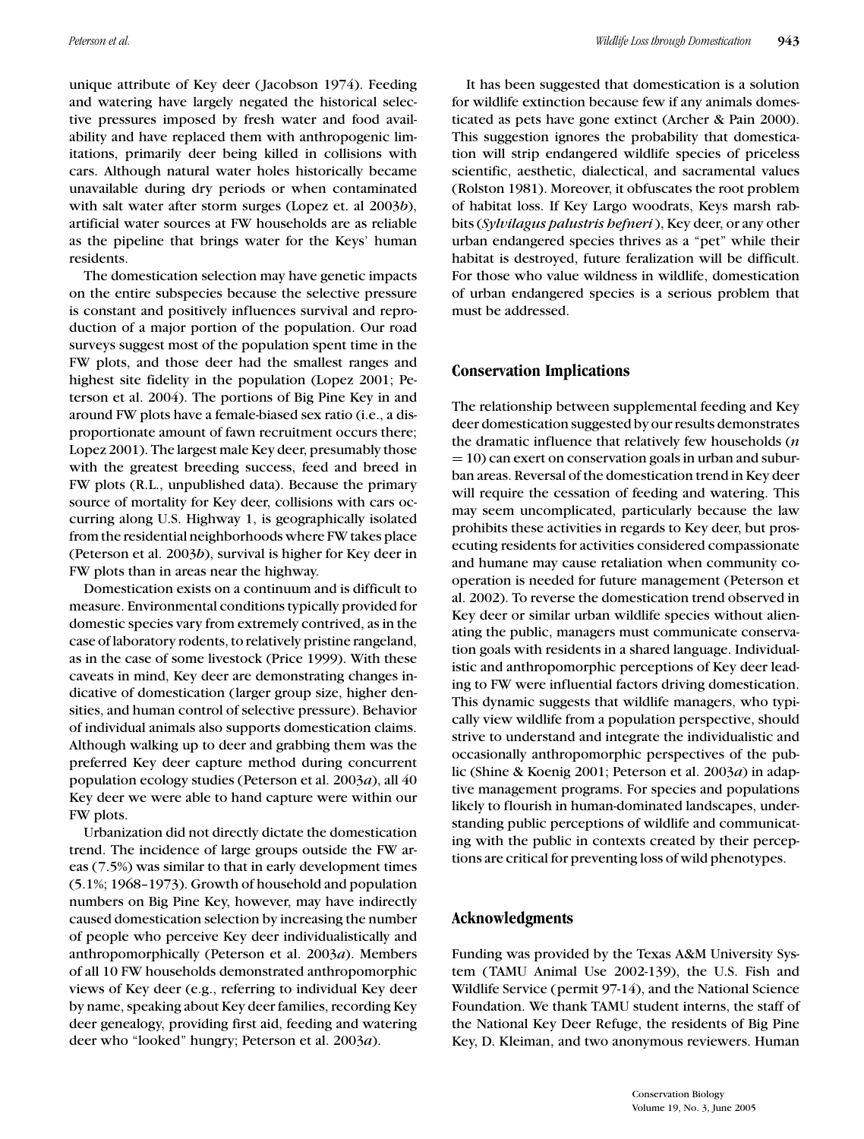unique attribute of Key deer ( Jacobson 1974). Feeding and watering have largely negated the historical selective pressures imposed by fresh water and food availability and have replaced them with anthropogenic limitations, primarily deer being killed in collisions with cars. Although natural water holes historically became unavailable during dry periods or when contaminated with salt water after storm surges (Lopez et. al 2003*b*), artificial water sources at FW households are as reliable as the pipeline that brings water for the Keys' human residents.

The domestication selection may have genetic impacts on the entire subspecies because the selective pressure is constant and positively influences survival and reproduction of a major portion of the population. Our road surveys suggest most of the population spent time in the FW plots, and those deer had the smallest ranges and highest site fidelity in the population (Lopez 2001; Peterson et al. 2004). The portions of Big Pine Key in and around FW plots have a female-biased sex ratio (i.e., a disproportionate amount of fawn recruitment occurs there; Lopez 2001). The largest male Key deer, presumably those with the greatest breeding success, feed and breed in FW plots (R.L., unpublished data). Because the primary source of mortality for Key deer, collisions with cars occurring along U.S. Highway 1, is geographically isolated from the residential neighborhoods where FW takes place (Peterson et al. 2003*b*), survival is higher for Key deer in FW plots than in areas near the highway.

Domestication exists on a continuum and is difficult to measure. Environmental conditions typically provided for domestic species vary from extremely contrived, as in the case of laboratory rodents, to relatively pristine rangeland, as in the case of some livestock (Price 1999). With these caveats in mind, Key deer are demonstrating changes indicative of domestication (larger group size, higher densities, and human control of selective pressure). Behavior of individual animals also supports domestication claims. Although walking up to deer and grabbing them was the preferred Key deer capture method during concurrent population ecology studies (Peterson et al. 2003*a*), all 40 Key deer we were able to hand capture were within our FW plots.

Urbanization did not directly dictate the domestication trend. The incidence of large groups outside the FW areas (7.5%) was similar to that in early development times (5.1%; 1968–1973). Growth of household and population numbers on Big Pine Key, however, may have indirectly caused domestication selection by increasing the number of people who perceive Key deer individualistically and anthropomorphically (Peterson et al. 2003*a*). Members of all 10 FW households demonstrated anthropomorphic views of Key deer (e.g., referring to individual Key deer by name, speaking about Key deer families, recording Key deer genealogy, providing first aid, feeding and watering deer who "looked" hungry; Peterson et al. 2003*a*).

It has been suggested that domestication is a solution for wildlife extinction because few if any animals domesticated as pets have gone extinct (Archer & Pain 2000). This suggestion ignores the probability that domestication will strip endangered wildlife species of priceless scientific, aesthetic, dialectical, and sacramental values (Rolston 1981). Moreover, it obfuscates the root problem of habitat loss. If Key Largo woodrats, Keys marsh rabbits (*Sylvilagus palustris hefneri*), Key deer, or any other urban endangered species thrives as a "pet" while their habitat is destroyed, future feralization will be difficult. For those who value wildness in wildlife, domestication of urban endangered species is a serious problem that must be addressed.

### **Conservation Implications**

The relationship between supplemental feeding and Key deer domestication suggested by our results demonstrates the dramatic influence that relatively few households (*n*  $= 10$ ) can exert on conservation goals in urban and suburban areas. Reversal of the domestication trend in Key deer will require the cessation of feeding and watering. This may seem uncomplicated, particularly because the law prohibits these activities in regards to Key deer, but prosecuting residents for activities considered compassionate and humane may cause retaliation when community cooperation is needed for future management (Peterson et al. 2002). To reverse the domestication trend observed in Key deer or similar urban wildlife species without alienating the public, managers must communicate conservation goals with residents in a shared language. Individualistic and anthropomorphic perceptions of Key deer leading to FW were influential factors driving domestication. This dynamic suggests that wildlife managers, who typically view wildlife from a population perspective, should strive to understand and integrate the individualistic and occasionally anthropomorphic perspectives of the public (Shine & Koenig 2001; Peterson et al. 2003*a*) in adaptive management programs. For species and populations likely to flourish in human-dominated landscapes, understanding public perceptions of wildlife and communicating with the public in contexts created by their perceptions are critical for preventing loss of wild phenotypes.

## **Acknowledgments**

Funding was provided by the Texas A&M University System (TAMU Animal Use 2002-139), the U.S. Fish and Wildlife Service (permit 97-14), and the National Science Foundation. We thank TAMU student interns, the staff of the National Key Deer Refuge, the residents of Big Pine Key, D. Kleiman, and two anonymous reviewers. Human